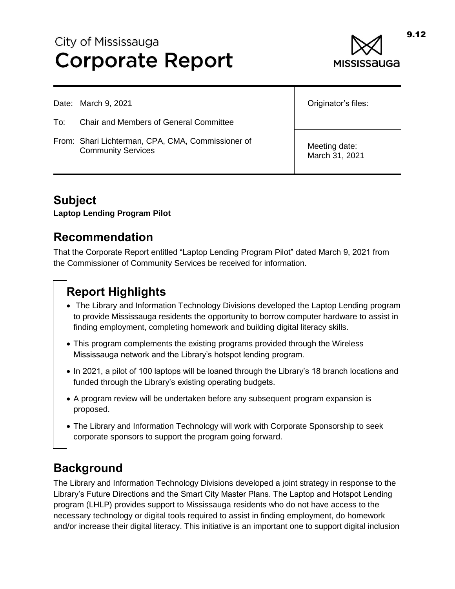# City of Mississauga **Corporate Report**



Date: March 9, 2021

- To: Chair and Members of General Committee
- From: Shari Lichterman, CPA, CMA, Commissioner of Community Services

Originator's files:

Meeting date: March 31, 2021

## **Subject**

**Laptop Lending Program Pilot**

#### **Recommendation**

That the Corporate Report entitled "Laptop Lending Program Pilot" dated March 9, 2021 from the Commissioner of Community Services be received for information.

## **Report Highlights**

- The Library and Information Technology Divisions developed the Laptop Lending program to provide Mississauga residents the opportunity to borrow computer hardware to assist in finding employment, completing homework and building digital literacy skills.
- This program complements the existing programs provided through the Wireless Mississauga network and the Library's hotspot lending program.
- In 2021, a pilot of 100 laptops will be loaned through the Library's 18 branch locations and funded through the Library's existing operating budgets.
- A program review will be undertaken before any subsequent program expansion is proposed.
- The Library and Information Technology will work with Corporate Sponsorship to seek corporate sponsors to support the program going forward.

### **Background**

The Library and Information Technology Divisions developed a joint strategy in response to the Library's Future Directions and the Smart City Master Plans. The Laptop and Hotspot Lending program (LHLP) provides support to Mississauga residents who do not have access to the necessary technology or digital tools required to assist in finding employment, do homework and/or increase their digital literacy. This initiative is an important one to support digital inclusion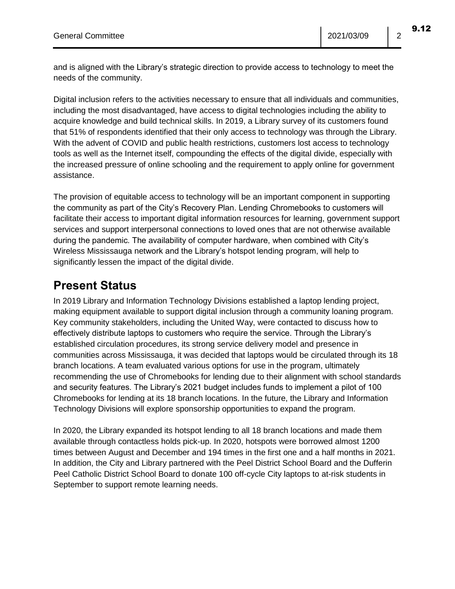Digital inclusion refers to the activities necessary to ensure that all individuals and communities, including the most disadvantaged, have access to digital technologies including the ability to acquire knowledge and build technical skills. In 2019, a Library survey of its customers found that 51% of respondents identified that their only access to technology was through the Library. With the advent of COVID and public health restrictions, customers lost access to technology tools as well as the Internet itself, compounding the effects of the digital divide, especially with the increased pressure of online schooling and the requirement to apply online for government assistance.

The provision of equitable access to technology will be an important component in supporting the community as part of the City's Recovery Plan. Lending Chromebooks to customers will facilitate their access to important digital information resources for learning, government support services and support interpersonal connections to loved ones that are not otherwise available during the pandemic. The availability of computer hardware, when combined with City's Wireless Mississauga network and the Library's hotspot lending program, will help to significantly lessen the impact of the digital divide.

#### **Present Status**

In 2019 Library and Information Technology Divisions established a laptop lending project, making equipment available to support digital inclusion through a community loaning program. Key community stakeholders, including the United Way, were contacted to discuss how to effectively distribute laptops to customers who require the service. Through the Library's established circulation procedures, its strong service delivery model and presence in communities across Mississauga, it was decided that laptops would be circulated through its 18 branch locations. A team evaluated various options for use in the program, ultimately recommending the use of Chromebooks for lending due to their alignment with school standards and security features. The Library's 2021 budget includes funds to implement a pilot of 100 Chromebooks for lending at its 18 branch locations. In the future, the Library and Information Technology Divisions will explore sponsorship opportunities to expand the program.

In 2020, the Library expanded its hotspot lending to all 18 branch locations and made them available through contactless holds pick-up. In 2020, hotspots were borrowed almost 1200 times between August and December and 194 times in the first one and a half months in 2021. In addition, the City and Library partnered with the Peel District School Board and the Dufferin Peel Catholic District School Board to donate 100 off-cycle City laptops to at-risk students in September to support remote learning needs.